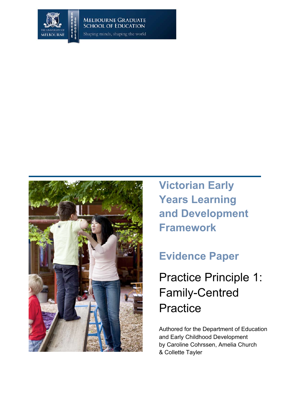

Shaping minds, shaping the world



**Victorian Early Years Learning and Development Framework**

# **Evidence Paper**

Practice Principle 1: Family-Centred **Practice** 

Authored for the Department of Education and Early Childhood Development by Caroline Cohrssen, Amelia Church & Collette Tayler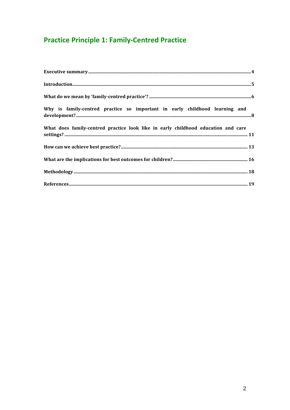## **Practice Principle 1: Family-Centred Practice**

| Why is family-centred practice so important in early childhood learning and       |
|-----------------------------------------------------------------------------------|
| What does family-centred practice look like in early childhood education and care |
|                                                                                   |
|                                                                                   |
|                                                                                   |
|                                                                                   |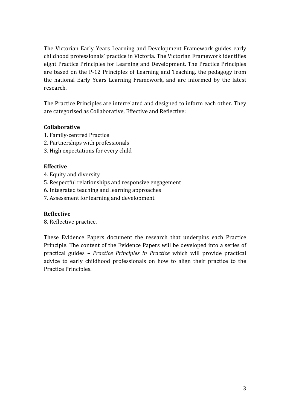The
 Victorian
 Early
 Years
 Learning
 and
 Development
 Framework
 guides
 early childhood professionals' practice in Victoria. The Victorian Framework identifies eight Practice Principles for Learning and Development. The Practice Principles are
 based
 on
 the
 P‐12
 Principles
 of
 Learning
and
Teaching,
 the
 pedagogy
 from the
 national
 Early
 Years
 Learning
 Framework,
 and
 are
 informed
 by
 the
 latest research.

The Practice Principles are interrelated and designed to inform each other. They are
categorised
as
Collaborative,
Effective
and
Reflective:

#### **Collaborative**

- 1.
Family‐centred
Practice
- 2.
Partnerships
with
professionals
- 3.
High
expectations
for
every
child

#### **Effective**

- 4.
Equity
and
diversity
- 5.
Respectful
relationships
and
responsive
engagement
- 6.
Integrated
teaching
and
learning
approaches
- 7.
Assessment
for
learning
and
development

#### **Reflective**

8.
Reflective
practice.

These
 Evidence
 Papers
 document
 the
 research
 that
 underpins
 each
 Practice Principle. The content of the Evidence Papers will be developed into a series of practical guides – *Practice Principles in Practice* which will provide practical advice to early childhood professionals on how to align their practice to the Practice
Principles.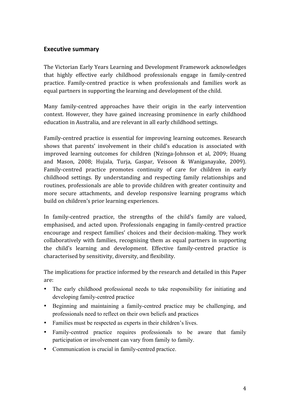## **Executive
summary**

The
Victorian
Early
Years
Learning
and
Development
Framework
acknowledges that highly
 effective
 early
 childhood
 professionals
 engage
 in family‐centred practice. Family-centred practice is when professionals and families work as equal
partners
in
supporting
the
learning
and
development
of
the
child.

Many family-centred approaches have their origin in the early intervention context.
 However,
 they
 have
 gained
 increasing
 prominence
 in
 early
 childhood education
in
Australia,
and
are
relevant
in
all
early
childhood
settings.

Family-centred practice is essential for improving learning outcomes. Research shows
 that
 parents'
 involvement
 in
 their
 child's
 education
 is
 associated
 with improved learning outcomes for children (Nzinga-Johnson et al, 2009; Huang and
 Mason,
 2008;
 Hujala,
 Turja,
 Gaspar,
 Veisoon
 &
 Waniganayake,
 2009). Family-centred practice promotes continuity of care for children in early childhood
 settings. By
 understanding
 and
 respecting
 family
 relationships
 and routines,
professionals
are
able
 to
provide
children
with
greater
continuity
and more secure attachments, and develop responsive learning programs which build
on
children's
prior
learning
experiences.

In family-centred practice, the strengths of the child's family are valued, emphasised,
 and
 acted
 upon.
 Professionals
 engaging
in
 family‐centred
 practice encourage
 and
 respect
 families'
 choices
 and
 their
 decision‐making.
 They
 work collaboratively
with
 families,
 recognising
 them
as
equal
 partners
in
 supporting the
 child's
 learning
 and
 development.
 Effective
 family‐centred
 practice
 is characterised
by
sensitivity,
diversity,
and
flexibility.

The
implications
for
practice
informed
by
the
research
and
detailed
in
this
Paper are:

- The early childhood professional needs to take responsibility for initiating and developing family-centred practice
- Beginning and maintaining a family-centred practice may be challenging, and professionals need to reflect on their own beliefs and practices
- Families must be respected as experts in their children's lives.
- Family-centred practice requires professionals to be aware that family participation or involvement can vary from family to family.
- Communication is crucial in family-centred practice.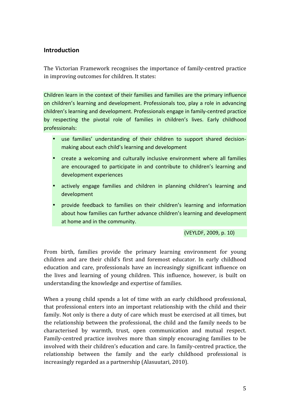## **Introduction**

The
Victorian
 Framework
 recognises
 the
importance
 of
 family‐centred
practice in
improving
outcomes
for
children.
It
states:

Children learn in the context of their families and families are the primary influence on
children's
learning
and
development.
Professionals
 too,
play
a
 role
in
advancing children's
learning
and
development.
Professionals
engage
in
family‐centred
practice by respecting the pivotal role of families in children's lives. Early childhood professionals:

- use families' understanding of their children to support shared decisionmaking
about
each
child's
learning
and
development
- create a welcoming and culturally inclusive environment where all families are encouraged to participate in and contribute to children's learning and development
experiences
- actively engage families and children in planning children's learning and development
- provide feedback to families on their children's learning and information about
how
families
can
further
advance
children's
learning
and
development at home and in the community.

(VEYLDF,
2009,
p.
10)

From birth, families provide the primary learning environment for young children and are their child's first and foremost educator. In early childhood education
 and
 care,
 professionals
 have
 an
 increasingly
 significant
 influence
 on the lives and learning of young children. This influence, however, is built on understanding
the
knowledge
and
expertise
of
families.

When a young child spends a lot of time with an early childhood professional, that professional enters into an important relationship with the child and their family. Not only is there a duty of care which must be exercised at all times, but the
 relationship
between
 the
professional,
 the
child
and
 the
 family
needs
 to
be characterised
 by
 warmth,
 trust,
 open
 communication
 and
 mutual
 respect. Family-centred practice involves more than simply encouraging families to be involved
with
their
children's
education
and
care.
In
family‐centred
practice,
the relationship between the family and the early childhood professional is increasingly
regarded
as
a
partnership
(Alasuutari,
2010).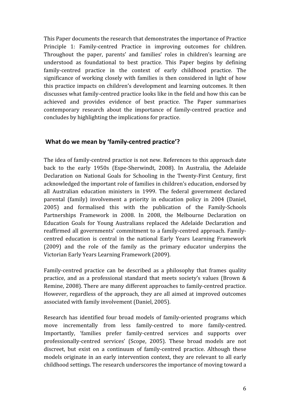This
Paper
documents
the
research
that
demonstrates
the
importance
of
Practice Principle 1: Family-centred Practice in improving outcomes for children. Throughout the paper, parents' and families' roles in children's learning are understood as foundational to best practice. This Paper begins by defining family-centred practice in the context of early childhood practice. The significance of working closely with families is then considered in light of how this
practice
impacts
on
children's
development
and
learning
outcomes.
 It
 then discusses
what
family‐centred
practice
looks
like
in
the
field
and
how
this
can
be achieved
 and
 provides
 evidence
 of
 best
 practice.
 The
 Paper
 summarises contemporary
 research
 about
 the
 importance
 of
 family‐centred
 practice
 and concludes
by
highlighting
the implications
for
practice.

### What do we mean by 'family-centred practice'?

The idea of family-centred practice is not new. References to this approach date back
 to
 the
 early
 1950s
 (Espe‐Sherwindt,
 2008).
 In
 Australia,
 the
 Adelaide Declaration on National Goals for Schooling in the Twenty-First Century, first acknowledged the important role of families in children's education, endorsed by all Australian education ministers in 1999. The federal government declared parental
 (family)
 involvement
 a
 priority
 in
 education
 policy
 in
 2004
 (Daniel, 2005)
 and
 formalised
 this
 with
 the
 publication
 of
 the
 Family‐Schools Partnerships Framework in 2008. In 2008, the Melbourne Declaration on Education
 Goals
 for
 Young
 Australians
 replaced
 the
 Adelaide
 Declaration
 and reaffirmed
all
governments'
commitment
 to
a
 family‐centred
approach.
Family‐ centred education is central in the national Early Years Learning Framework (2009)
 and
 the
 role
 of
 the
 family
 as
 the
 primary
 educator
 underpins
 the Victorian
Early
Years
Learning
Framework
(2009).

Family-centred practice can be described as a philosophy that frames quality practice, and as a professional standard that meets society's values (Brown & Remine, 2008). There are many different approaches to family-centred practice. However,
regardless
of
 the
approach,
 they
are
all
aimed
at
improved
outcomes associated
with
family
involvement
(Daniel,
2005).

Research has identified four broad models of family-oriented programs which move
 incrementally
 from
 less
 family‐centred
 to
 more
 family‐centred. Importantly, 'families prefer family-centred services and supports over professionally-centred services' (Scope, 2005). These broad models are not discreet, but exist on a continuum of family-centred practice. Although these models originate in an early intervention context, they are relevant to all early childhood
settings.
The
research
underscores
the
importance
of
moving
toward
a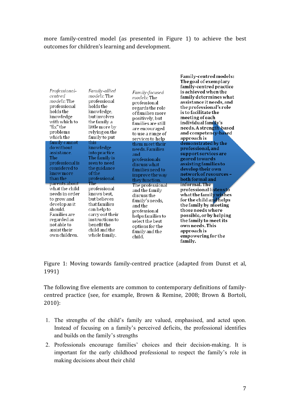more family-centred model (as presented in Figure 1) to achieve the best outcomes
for
children's
learning
and
development.

| Professional-<br>centred<br>models: The<br>professional<br>holds the<br>knowledge<br>with which to<br>"fix"the<br>problems<br>which the                           | Family-allied<br><i>models</i> : The<br>professional<br>holds the<br>knowledge,<br>but involves<br>the family a<br>little more by<br>relying on the<br>family to put | Family-focused<br>models: The<br>professional<br>regards the role<br>of families more<br>positively, but<br>families are still<br>are encouraged<br>to use a range of<br>services to help | Family-centred models:<br>The goal of exemplary<br>family-centred practice<br>is achieved when the<br>family determines what<br>assistance it needs, and<br>the professional's role<br>is to facilitate the<br>meeting of each<br>individual fam <b>il</b> y's<br>needs. A strength-based<br>and competen <mark>cy-base</mark> d<br>approach is |
|-------------------------------------------------------------------------------------------------------------------------------------------------------------------|----------------------------------------------------------------------------------------------------------------------------------------------------------------------|-------------------------------------------------------------------------------------------------------------------------------------------------------------------------------------------|-------------------------------------------------------------------------------------------------------------------------------------------------------------------------------------------------------------------------------------------------------------------------------------------------------------------------------------------------|
| family cannot<br>do without<br>assistance.<br>The<br>professional is<br>considered to<br>know more<br>than the<br>parents about                                   | this<br>knowledge<br>into practice.<br>The family is<br>seen to need<br>the guidance<br>of the<br>professional.<br>The                                               | them meet their<br>needs. Families<br>and<br>professionals<br>discuss what<br>families need to<br>improve the way<br>they function.<br>The professional                                   | demonstrated by the<br>professional, and<br>support services are<br>geared towards<br>assisting families to<br>develop their own<br>network of resources -<br>both formal and<br>informal. The                                                                                                                                                  |
| what the child<br>needs in order<br>to grow and<br>develop as it<br>should.<br><b>Families</b> are<br>regarded as<br>not able to<br>assist their<br>own children. | professional<br>knows best,<br>but believes<br>that families<br>can help to<br>carry out their<br>instructions to<br>benefit the<br>child and the<br>whole family.   | and the family<br>discuss the<br>family's needs,<br>and the<br>professional<br>helps families to<br>select the best<br>options for the<br>family and the<br>child.                        | professional listens to<br>what the family wishes<br>for the child and helps<br>the family by meeting<br>those needs where<br>possible, or by helping<br>the family to meet its<br>own needs. This<br>approach is<br>empowering for the<br>family.                                                                                              |

Figure 1: Moving towards family-centred practice (adapted from Dunst et al, 1991)

The following five elements are common to contemporary definitions of familycentred practice (see, for example, Brown & Remine, 2008; Brown & Bortoli, 2010):

- 1. The strengths of the child's family are valued, emphasised, and acted upon. Instead of focusing on a family's perceived deficits, the professional identifies and builds on the family's strengths
- 2. Professionals encourage families' choices and their decision-making. It is important for the early childhood professional to respect the family's role in making decisions about their child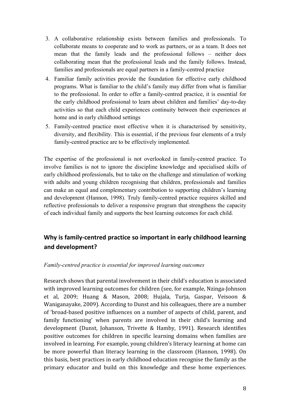- 3. A collaborative relationship exists between families and professionals. To collaborate means to cooperate and to work as partners, or as a team. It does not mean that the family leads and the professional follows – neither does collaborating mean that the professional leads and the family follows. Instead, families and professionals are equal partners in a family-centred practice
- 4. Familiar family activities provide the foundation for effective early childhood programs. What is familiar to the child's family may differ from what is familiar to the professional. In order to offer a family-centred practice, it is essential for the early childhood professional to learn about children and families' day-to-day activities so that each child experiences continuity between their experiences at home and in early childhood settings
- 5. Family-centred practice most effective when it is characterised by sensitivity, diversity, and flexibility. This is essential, if the previous four elements of a truly family-centred practice are to be effectively implemented.

The expertise of the professional is not overlooked in family-centred practice. To involve families is not to ignore the discipline knowledge and specialised skills of early childhood professionals, but to take on the challenge and stimulation of working with adults and young children recognising that children, professionals and families can make an equal and complementary contribution to supporting children's learning and development (Hannon, 1998). Truly family-centred practice requires skilled and reflective professionals to deliver a responsive program that strengthens the capacity of each individual family and supports the best learning outcomes for each child.

## Why is family-centred practice so important in early childhood learning **and
development?**

#### *Family-centred practice is essential for improved learning outcomes*

Research
shows
that
parental
involvement
in
their
child's
education
is
associated with improved learning outcomes for children (see, for example, Nzinga-Johnson et
 al,
 2009;
 Huang
 &
 Mason,
 2008;
 Hujala,
 Turja,
 Gaspar,
 Veisoon
 & Waniganayake,
2009).
According
to
Dunst
and
his
colleagues,
there
are
a
number of
'broad‐based
positive
influences
on
a
number
of
aspects
of
child,
parent,
and family functioning' when parents are involved in their child's learning and development (Dunst, Johanson, Trivette & Hamby, 1991). Research identifies positive outcomes for children in specific learning domains when families are involved
in
learning.
For
example,
young
children's
literacy
learning
at
home
can be more powerful than literacy learning in the classroom (Hannon, 1998). On this
basis,
best
practices
in
early
childhood
education
recognise
the
family
as
the primary educator and build on this knowledge and these home experiences.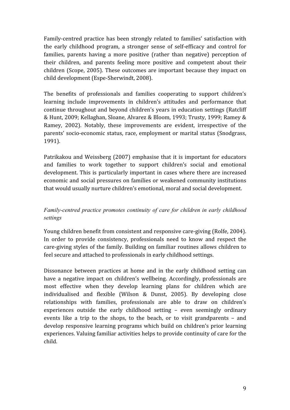Family-centred practice has been strongly related to families' satisfaction with the
 early
 childhood
 program,
 a
 stronger
 sense
 of
 self‐efficacy
 and
 control
 for families, parents having a more positive (rather than negative) perception of their
 children,
 and
 parents
 feeling
 more
 positive
 and
 competent
 about
 their children
 (Scope,
 2005).
 These
 outcomes
are
important
 because
 they
impact
 on child
development
(Espe‐Sherwindt,
2008).

The benefits of professionals and families cooperating to support children's learning include improvements in children's attitudes and performance that continue
 throughout
and
beyond
children's
years
in
education
settings
 (Ratcliff &
Hunt,
2009;
Kellaghan,
Sloane,
Alvarez
&
Bloom,
1993;
Trusty,
1999;
Ramey
& Ramey, 2002). Notably, these improvements are evident, irrespective of the parents'
 socio‐economic
 status,
 race,
employment
 or
marital
 status
 (Snodgrass, 1991).

Patrikakou and Weissberg (2007) emphasise that it is important for educators and
 families
 to
 work
 together
 to
 support
 children's
 social
 and
 emotional development.
This
is
particularly
important
in
cases
where
 there
are
increased economic
and
social
pressures
on
 families
or
weakened
community
institutions that
would
usually
nurture
children's
emotional,
moral
and
social
development.

## *Family-centred practice promotes continuity of care for children in early childhood settings*

Young
children
benefit
from
consistent
and
responsive
care‐giving
(Rolfe,
2004). In order to provide consistency, professionals need to know and respect the care‐giving
styles
of
 the
 family.
Building
on
 familiar
routines
allows
children
 to feel
secure
and
attached
to
professionals
in
early
childhood
settings.

Dissonance between practices at home and in the early childhood setting can have a negative impact on children's wellbeing. Accordingly, professionals are most effective when they develop learning plans for children which are individualised and flexible (Wilson & Dunst, 2005). By developing close relationships
 with
 families,
 professionals
 are
 able
 to
 draw
 on
 children's experiences outside the early childhood setting – even seemingly ordinary events like a trip to the shops, to the beach, or to visit grandparents – and develop responsive learning programs which build on children's prior learning experiences. Valuing familiar activities helps to provide continuity of care for the child.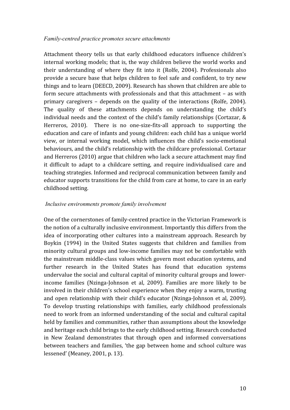#### *Family-centred practice promotes secure attachments*

Attachment
 theory
 tells
 us
 that
 early
 childhood
 educators
 influence
 children's internal working models; that is, the way children believe the world works and their
 understanding
 of
 where
 they
 fit
 into
 it
 (Rolfe,
 2004). Professionals
 also provide a secure base that helps children to feel safe and confident, to try new things
and
to
learn
(DEECD,
2009).
Research
has
shown
that
children
are
able
to form secure attachments with professionals and that this attachment - as with primary
 caregivers –
 depends
 on
 the
 quality
 of
 the
 interactions
 (Rolfe,
 2004). The
 quality
 of
 these
 attachments
 depends
 on
 understanding
 the
 child's individual
needs
and
 the
context
of
 the
child's
 family
relationships
(Cortazar,
& Herreros, 2010). There is no one-size-fits-all approach to supporting the education and care of infants and young children: each child has a unique world view, or internal working model, which influences the child's socio-emotional behaviours,
and
the
child's
relationship
with
the
childcare
professional.
Cortazar and
Herreros
(2010)
argue
that
children
who
lack
a
secure
attachment
may
find it difficult to adapt to a childcare setting, and require individualised care and teaching
strategies.
Informed
and
reciprocal
communication
between
family
and educator supports transitions for the child from care at home, to care in an early childhood
setting.

#### *Inclusive environments promote family involvement*

One of the cornerstones of family-centred practice in the Victorian Framework is the
notion
of
a
culturally
inclusive
environment.
Importantly
this
differs
from
the idea of incorporating other cultures into a mainstream approach. Research by Boykin (1994) in the United States suggests that children and families from minority
cultural
groups
and
low‐income
 families
may
not
be
comfortable
with the
mainstream
middle‐class
values
which
govern
most
education
systems,
and further research in the United States has found that education systems undervalue the social and cultural capital of minority cultural groups and lowerincome families (Nzinga-Johnson et al, 2009). Families are more likely to be involved
in
their
children's
school
experience
when
they
enjoy
a
warm,
trusting and
 open
 relationship
with
 their
 child's
educator
 (Nzinga‐Johnson
et
al,
 2009). To
 develop
 trusting
 relationships
 with
 families,
 early
 childhood
 professionals need
to
work
 from
an
informed
understanding
of
the
social
and
cultural
capital held by families and communities, rather than assumptions about the knowledge and
heritage
each
child
brings
to
the
early
childhood
setting.
Research
conducted in
 New
 Zealand
 demonstrates
 that
 through
 open
 and
 informed
 conversations between teachers and families, 'the gap between home and school culture was lessened' (Meaney,
2001,
p.
13).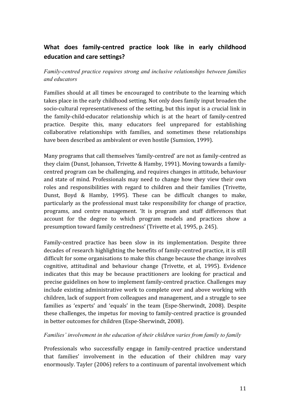## What does family-centred practice look like in early childhood **education
and
care
settings?**

*Family-centred practice requires strong and inclusive relationships between families and educators*

Families should at all times be encouraged to contribute to the learning which takes place in the early childhood setting. Not only does family input broaden the socio-cultural representativeness of the setting, but this input is a crucial link in the family-child-educator relationship which is at the heart of family-centred practice.
 Despite
 this,
 many
 educators
 feel
 unprepared
 for
 establishing collaborative
 relationships
 with
 families,
 and
 sometimes
 these
 relationships have
been
described
as
ambivalent
or
even
hostile
(Sumsion,
1999).

Many programs that call themselves 'family-centred' are not as family-centred as they claim (Dunst, Johanson, Trivette & Hamby, 1991). Moving towards a familycentred
program
can
be
challenging,
and
requires
changes
in
attitude,
behaviour and state of mind. Professionals may need to change how they view their own roles and responsibilities with regard to children and their families (Trivette, Dunst,
 Boyd
 &
 Hamby,
 1995).
 These
 can
 be
 difficult
 changes
 to
 make, particularly
as
 the
 professional
must
 take
 responsibility
 for
 change
 of
 practice, programs, and centre management. The is program and staff differences that account
 for
 the
 degree
 to
 which
 program
 models
 and
 practices
 show
 a presumption
toward
family
centredness'
(Trivette
et
al,
1995,
p.
245).

Family-centred practice has been slow in its implementation. Despite three decades of research highlighting the benefits of family-centred practice, it is still difficult for some organisations to make this change because the change involves cognitive,
 attitudinal
 and
 behaviour
 change
 (Trivette,
 et
 al,
 1995).
 Evidence indicates that this may be because practitioners are looking for practical and precise
guidelines
on
how
to
implement
family‐centred
practice.
Challenges
may include existing administrative work to complete over and above working with children,
lack
of
support
from
colleagues
and
management,
and
a
struggle
to
see families as 'experts' and 'equals' in the team (Espe-Sherwindt, 2008). Despite these challenges, the impetus for moving to family-centred practice is grounded in
better
outcomes
for
children
(Espe‐Sherwindt,
2008).

#### *Families' involvement in the education of their children varies from family to family*

Professionals
 who
 successfully
 engage
 in
 family‐centred
 practice
 understand that
 families'
 involvement
 in
 the
 education
 of
 their
 children
 may
 vary enormously.
Tayler
(2006)
refers
to
a
continuum
of
parental
involvement
which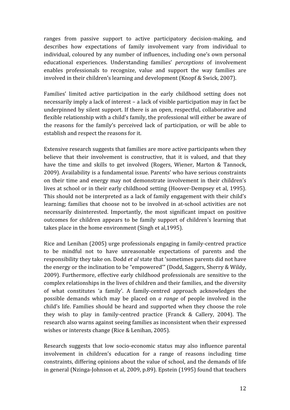ranges from passive support to active participatory decision-making, and describes how expectations of family involvement vary from individual to individual,
coloured
by
any
number
of
influences,
including
one's
own
personal educational
 experiences.
 Understanding
 families' *perceptions* of
 involvement enables professionals to recognize, value and support the way families are involved in their children's learning and development (Knopf & Swick, 2007).

Families' limited active participation in the early childhood setting does not necessarily
imply
a
lack
of
interest
–
a
lack
of
visible
participation
may
in
fact
be underpinned
by
silent
support.
 If
 there
is
an
open,
respectful,
collaborative
and flexible relationship with a child's family, the professional will either be aware of the
 reasons
 for
 the
 family's
 perceived
 lack
 of
 participation,
 or
 will
 be
 able
 to establish
and
respect
the
reasons
for
it.

Extensive research suggests that families are more active participants when they believe that their involvement is constructive, that it is valued, and that they have the time and skills to get involved (Rogers, Wiener, Marton & Tannock, 2009).
Availability
is
a
fundamental
issue.
Parents'
who
have
serious
constraints on their time and energy may not demonstrate involvement in their children's lives at school or in their early childhood setting (Hoover-Dempsey et al, 1995). This
should
not
be
interpreted
as
a
lack
of
 family
engagement
with
their
child's learning; families that choose not to be involved in at-school activities are not necessarily
 disinterested.
 Importantly,
 the
 most
 significant
 impact
 on
 positive outcomes
 for
 children
 appears
 to
 be
 family
 support
 of
 children's
 learning
 that takes
place
in
the
home
environment
(Singh
et
al,1995).

Rice and Lenihan (2005) urge professionals engaging in family-centred practice to
 be
 mindful
 not
 to
 have
 unreasonable
 expectations
 of
 parents
 and
 the responsibility they take on. Dodd *et al* state that 'sometimes parents did not have the
energy
or
the
inclination
to
be
"empowered'"
(Dodd,
Saggers,
Sherry
&
Wildy, 2009).
Furthermore,
effective
early
childhood
professionals are
sensitive
 to
 the complex
relationships
in
the
lives
of
children
and
their
families,
and
the
diversity of
 what
 constitutes
 'a
 family'. A
 family‐centred approach
 acknowledges
 the possible demands which may be placed on *a range* of people involved in the child's
life.
 Families
 should
 be
heard
and
 supported
when
 they
choose
 the
 role they
 wish
 to
 play
 in
 family‐centred
 practice
 (Franck
 &
 Callery,
 2004).
 The research
also
warns
against
seeing
families
as
inconsistent
when
their
expressed wishes
or
interests
change
(Rice
&
Lenihan,
2005).

Research suggests that low socio-economic status may also influence parental involvement in children's education for a range of reasons including time constraints,
differing
opinions
about
the
value
of
school,
and
the
demands
of
life in
general
(Nzinga‐Johnson
et
al,
2009,
p.89).
Epstein
(1995)
found
that
teachers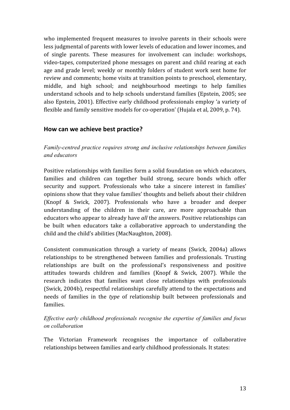who implemented frequent measures to involve parents in their schools were less
judgmental
of
parents
with
lower
levels
of
education
and
lower
incomes,
and of
 single
 parents.
 These
 measures
 for
 involvement
 can
 include:
 workshops, video-tapes, computerized phone messages on parent and child rearing at each age
and
grade
level;
weekly
 or
monthly
 folders
 of
 student
work
 sent
 home
 for review and comments; home visits at transition points to preschool, elementary, middle, and high school; and neighbourhood meetings to help families understand
schools
and
to
help
schools
understand
 families
(Epstein,
2005;
see also
Epstein,
2001).
Effective
early
childhood
professionals employ 'a
variety
of flexible and family sensitive models for co-operation' (Hujala et al, 2009, p. 74).

### **How
can
we
achieve
best
practice?**

*Family-centred practice requires strong and inclusive relationships between families and educators*

Positive relationships with families form a solid foundation on which educators, families and children can together build strong, secure bonds which offer security and support. Professionals who take a sincere interest in families' opinions
show
that
they
value
families'
thoughts
and
beliefs
about
their
children (Knopf
 &
 Swick,
 2007).
 Professionals
 who
 have
 a
 broader
 and
 deeper understanding of the children in their care, are more approachable than educators who appear to already have *all* the answers. Positive relationships can be built when educators take a collaborative approach to understanding the child
and
the
child's
abilities
(MacNaughton,
2008).

Consistent communication through a variety of means (Swick, 2004a) allows relationships
 to
 be
 strengthened
 between
 families
 and
 professionals.
 Trusting relationships
 are
 built
 on
 the
 professional's
 responsiveness
 and
 positive attitudes
 towards children
 and
 families
 (Knopf
 &
 Swick,
 2007).
 While
 the research indicates that families want close relationships with professionals (Swick,
2004b),
respectful
relationships
carefully
attend
to
the
expectations
and needs of families in the *type* of relationship built between professionals and families.

#### *Effective early childhood professionals recognise the expertise of families and focus on collaboration*

The
 Victorian
 Framework
 recognises
 the
 importance
 of
 collaborative relationships
between
families
and
early
childhood
professionals.
It
states: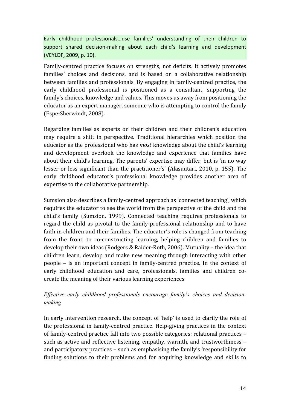Early childhood professionals...use families' understanding of their children to support shared decision-making about each child's learning and development (VEYLDF,
2009,
p.
10).

Family-centred practice focuses on strengths, not deficits. It actively promotes families' choices and decisions, and is based on a collaborative relationship between families and professionals. By engaging in family-centred practice, the early childhood professional is positioned as a consultant, supporting the family's choices, knowledge and values. This moves us away from positioning the educator
as
an
expert
manager,
someone
who
is
attempting
to
control
the
family (Espe‐Sherwindt,
2008).

Regarding families as experts on their children and their children's education may
 require
 a
 shift
 in
 perspective.
 Traditional
 hierarchies
 which
 position
 the educator
as
the
professional
who
has *most*knowledge
about
the
child's
learning and
 development
 overlook
 the
 knowledge
 and
 experience
 that
 families
 have about their child's learning. The parents' expertise may differ, but is 'in no way lesser or less significant than the practitioner's' (Alasuutari, 2010, p. 155). The early
 childhood
 educator's
 professional
 knowledge
 provides
 another
 area
 of expertise
to
the
collaborative
partnership.

Sumsion
also
describes
a
family‐centred
approach
as
'connected
teaching',
which requires the educator to see the world from the perspective of the child and the child's
 family
 (Sumsion,
 1999).
 Connected
 teaching
 requires
 professionals
 to regard the child as pivotal to the family-professional relationship and to have faith in children and their families. The educator's role is changed from teaching from the front, to co-constructing learning, helping children and families to develop their own ideas (Rodgers & Raider-Roth, 2006). Mutuality - the idea that children
learn,
 develop
and
make
 new
meaning
 through
interacting
with
 other people –
 is
 an
 important
 concept
 in
 family‐centred
 practice.
 In
 the
 context
 of early childhood education and care, professionals, families and children cocreate
the
meaning
of
their
various
learning
experiences

### *Effective early childhood professionals encourage family's choices and decisionmaking*

In early intervention research, the concept of 'help' is used to clarify the role of the
professional
in
 family‐centred
practice.
Help‐giving
practices
in
 the
context of
family‐centred
practice
fall
into
two
possible
categories:
relational
practices
– such
as
active
and
reflective
listening,
empathy,
warmth,
and
trustworthiness
– and
participatory
practices
–
such
as
emphasising
the
family's
'responsibility
for finding solutions to their problems and for acquiring knowledge and skills to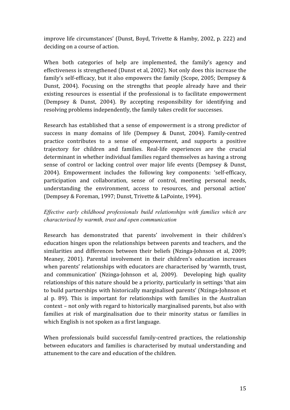improve
life
circumstances'
 (Dunst,
Boyd,
Trivette
&
Hamby,
2002,
p.
222)
and deciding
on
a
course
of
action.

When both categories of help are implemented, the family's agency and effectiveness
is
strengthened
(Dunst
et
al,
2002).
Not
only
does
this
increase
the family's self-efficacy, but it also empowers the family (Scope, 2005; Dempsey & Dunst, 2004). Focusing on the strengths that people already have and their existing
 resources
 is
 essential
 if
 the
 professional
 is
 to
 facilitate
 empowerment (Dempsey
 &
 Dunst,
 2004).
 By
 accepting
 responsibility
 for
 identifying
 and resolving
problems
independently,
the
family
takes
credit
for
successes.

Research
has
established
 that
a
sense
of
empowerment
is
a
strong
predictor
of success in many domains of life (Dempsey & Dunst, 2004). Family-centred practice
 contributes
 to
 a
 sense
 of
 empowerment,
 and
 supports
 a
 positive trajectory
 for
 children
 and
 families.
 Real‐life
 experiences
 are
 the
 crucial determinant in whether individual families regard themselves as having a strong sense of control or lacking control over major life events (Dempsey & Dunst, 2004).
 Empowerment
 includes
 the
 following
 key
 components:
 'self‐efficacy, participation
 and
 collaboration,
 sense
 of
 control,
 meeting
 personal
 needs, understanding
 the
 environment,
 access
 to
 resources,
 and
 personal
 action' (Dempsey
&
Foreman,
1997;
Dunst,
Trivette
&
LaPointe,
1994).

#### *Effective early childhood professionals build relationships with families which are characterised by warmth, trust and open communication*

Research has demonstrated that parents' involvement in their children's education
hinges
upon
the
relationships
between
parents
and
teachers,
and
the similarities and differences between their beliefs (Nzinga-Johnson et al, 2009; Meaney,
 2001).
 Parental
 involvement
 in
 their
 children's
 education
 increases when parents' relationships with educators are characterised by 'warmth, trust, and communication' (Nzinga-Johnson et al, 2009). Developing high quality relationships of this nature should be a priority, particularly in settings 'that aim to
build
partnerships
with
historically
marginalised
parents'
(Nzinga‐Johnson
et al p. 89). This is important for relationships with families in the Australian context
–
not
only
with
regard
to
historically
marginalised
parents,
but
also
with families at risk of marginalisation due to their minority status or families in which
English
is
not
spoken
as
a
first
language.

When professionals build successful family-centred practices, the relationship between
 educators
 and
 families
 is
 characterised
 by
 mutual
 understanding
 and attunement
to
the
care
and
education
of
the
children.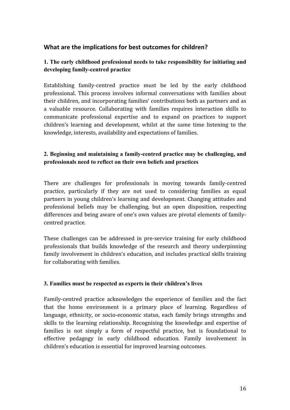## What are the implications for best outcomes for children?

### **1. The early childhood professional needs to take responsibility for initiating and developing family-centred practice**

Establishing family-centred practice must be led by the early childhood professional. This process involves informal conversations with families about their
children,
and
incorporating
families'
contributions
both
as
partners
and
as a valuable resource. Collaborating with families requires interaction skills to communicate
 professional
 expertise
 and
 to
 expand
 on
 practices
 to
 support children's
 learning
 and
 development,
 whilst
 at
 the
 same
 time
 listening
 to
 the knowledge,
interests,
availability
and
expectations
of
families.

### **2. Beginning and maintaining a family-centred practice may be challenging, and professionals need to reflect on their own beliefs and practices**

There are challenges for professionals in moving towards family-centred practice, particularly if they are not used to considering families as equal partners
in
young
children's
learning
and
development.
Changing
attitudes
and professional
 beliefs
 may
 be
 challenging,
 but
 an
 open
 disposition,
 respecting differences and being aware of one's own values are pivotal elements of familycentred
practice.

These challenges can be addressed in pre-service training for early childhood professionals
 that
 builds
 knowledge
 of
 the
 research
 and
 theory
 underpinning family involvement in children's education, and includes practical skills training for
collaborating
with
families.

#### **3. Families must be respected as experts in their children's lives**

Family-centred practice acknowledges the experience of families and the fact that the home environment is a primary place of learning. Regardless of language, ethnicity, or socio-economic status, each family brings strengths and skills
 to
 the
 learning
 relationship.
 Recognising
 the
 knowledge
 and
 expertise
 of families is not simply a form of respectful practice, but is foundational to effective pedagogy in early childhood education. Family involvement in children's
education
is
essential
for
improved
learning
outcomes.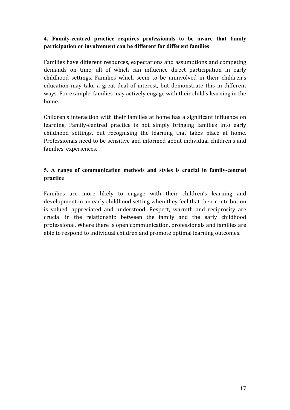#### **4. Family-centred practice requires professionals to be aware that family participation or involvement can be different for different families**

Families
have
different
resources,
expectations
and
assumptions
and
competing demands on time, all of which can influence direct participation in early childhood
 settings.
 Families
 which
 seem
 to
 be
 uninvolved
 in
 their
 children's education
 may
 take
 a
 great
 deal
 of
 interest,
 but
 demonstrate
 this
 in
 different ways. For example, families may actively engage with their child's learning in the home.

Children's interaction with their families at home has a significant influence on learning. Family-centred practice is not simply bringing families into early childhood settings, but recognising the learning that takes place at home. Professionals need to be sensitive and informed about individual children's and families'
experiences.

### **5. A range of communication methods and styles is crucial in family-centred practice**

Families are more likely to engage with their children's learning and development
in
an
early
childhood
setting
when
they
feel
that
their
contribution is
 valued,
 appreciated
 and
 understood.
 Respect,
 warmth
 and
 reciprocity
 are crucial
 in
 the
 relationship
 between
 the
 family
 and
 the
 early
 childhood professional.
Where
there
is
open
communication,
professionals
and
families
are able to respond to individual children and promote optimal learning outcomes.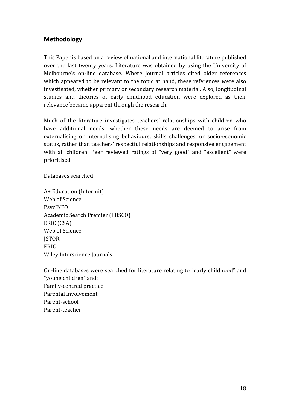## **Methodology**

This
Paper is
based
on
a
review
of
national
and
international
literature
published over the last twenty years. Literature was obtained by using the University of Melbourne's on-line database. Where journal articles cited older references which appeared to be relevant to the topic at hand, these references were also investigated,
whether
primary
or
secondary
research
material.
Also,
longitudinal studies and theories of early childhood education were explored as their relevance
became
apparent
through
the
research.

Much of the literature investigates teachers' relationships with children who have additional needs, whether these needs are deemed to arise from externalising or internalising behaviours, skills challenges, or socio-economic status,
rather
than
teachers'
respectful
relationships
and
responsive
engagement with all children. Peer reviewed ratings of "very good" and "excellent" were prioritised.

Databases
searched:

A+
Education
(Informit) Web
of
Science PsycINFO Academic
Search
Premier
(EBSCO) ERIC
(CSA) Web
of
Science **ISTOR** ERIC Wiley
Interscience
Journals

On-line databases were searched for literature relating to "early childhood" and "young
children"
and: Family‐centred
practice Parental
involvement Parent‐school Parent‐teacher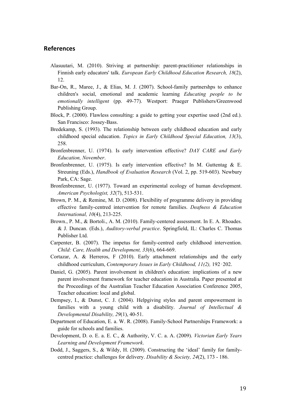#### **References**

- Alasuutari, M. (2010). Striving at partnership: parent-practitioner relationships in Finnish early educators' talk. *European Early Childhood Education Research, 18*(2), 12.
- Bar-On, R., Maree, J., & Elias, M. J. (2007). School-family partnershps to enhance children's social, emotional and academic learning *Educating people to be emotionally intelligent* (pp. 49-77). Westport: Praeger Publishers/Greenwood Publishing Group.
- Block, P. (2000). Flawless consulting: a guide to getting your expertise used (2nd ed.). San Francisco: Jossey-Bass.
- Bredekamp, S. (1993). The relationship between early childhood education and early childhood special education. *Topics in Early Childhood Special Education, 13*(3), 258.
- Bronfenbrenner, U. (1974). Is early intervention effective? *DAY CARE and Early Education, November*.
- Bronfenbrenner, U. (1975). Is early intervention effective? In M. Guttentag & E. Streuning (Eds.), *Handbook of Evaluation Research* (Vol. 2, pp. 519-603). Newbury Park, CA: Sage.
- Bronfenbrenner, U. (1977). Toward an experimental ecology of human development. *American Psychologist, 32*(7), 513-531.
- Brown, P. M., & Remine, M. D. (2008). Flexibility of programme delivery in providing effective family-centred intervention for remote families. *Deafness & Education International, 10*(4), 213-225.
- Brown., P. M., & Bortoli., A. M. (2010). Family-centered assessment. In E. A. Rhoades. & J. Duncan. (Eds.), *Auditory-verbal practice*. Springfield, IL: Charles C. Thomas Publisher Ltd.
- Carpenter, B. (2007). The impetus for family-centred early childhood intervention. *Child: Care, Health and Development, 33*(6), 664-669.
- Cortazar, A. & Herreros, F (2010). Early attachment relationships and the early childhood curriculum, *Contemporary Issues in Early Childhood, 11(2),* 192‑202.
- Daniel, G. (2005). Parent involvement in children's education: implications of a new parent involvement framework for teacher education in Australia. Paper presented at the Proceedings of the Australian Teacher Education Association Conference 2005, Teacher education: local and global.
- Dempsey, I., & Dunst, C. J. (2004). Helpgiving styles and parent empowerment in families with a young child with a disability. *Journal of Intellectual & Developmental Disability, 29*(1), 40-51.
- Department of Education, E. a. W. R. (2008). Family-School Partnerships Framework: a guide for schools and families.
- Development, D. o. E. a. E. C., & Authority, V. C. a. A. (2009). *Victorian Early Years Learning and Development Framework*.
- Dodd, J., Saggers, S., & Wildy, H. (2009). Constructing the 'ideal' family for familycentred practice: challenges for delivery. *Disability & Society, 24*(2), 173 - 186.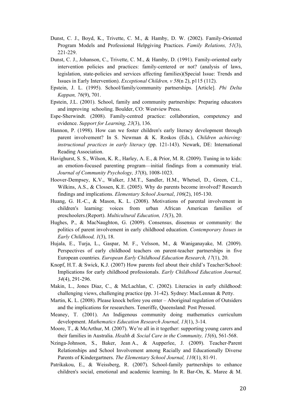- Dunst, C. J., Boyd, K., Trivette, C. M., & Hamby, D. W. (2002). Family-Oriented Program Models and Professional Helpgiving Practices. *Family Relations, 51*(3), 221-229.
- Dunst, C. J., Johanson, C., Trivette, C. M., & Hamby, D. (1991). Family-oriented early intervention policies and practices: family-centered or not? (analysis of laws, legislation, state-policies and services affecting families)(Special Issue: Trends and Issues in Early Intervention). *Exceptional Children, v 58*(n 2), p115 (112).
- Epstein, J. L. (1995). School/family/community partnerships. [Article]. *Phi Delta Kappan, 76*(9), 701.
- Epstein, J.L. (2001). School, family and community partnerships: Preparing educators and improving schooling. Boulder, CO: Westview Press.
- Espe-Sherwindt. (2008). Family-centred practice: collaboration, competency and evidence. *Support for Learning, 23*(3), 136.
- Hannon, P. (1998). How can we foster children's early literacy development through parent involvement? In S. Newman & K. Roskos (Eds.), *Children achieving: instructional practices in early literacy* (pp. 121-143). Newark, DE: International Reading Association.
- Havighurst, S. S., Wilson, K. R., Harley, A. E., & Prior, M. R. (2009). Tuning in to kids: an emotion-focused parenting program—initial findings from a community trial. *Journal of Community Psychology, 37*(8), 1008-1023.
- Hoover-Dempsey, K.V., Walker, J.M.T., Sandler, H.M., Whetsel, D., Green, C.L., Wilkins, A.S., & Clossen, K.E. (2005). Why do parents become involved? Research findings and implications. *Elementary School Journal*, *106*(2), 105-130.
- Huang, G. H.-C., & Mason, K. L. (2008). Motivations of parental involvement in children's learning: voices from urban African American families of preschoolers.(Report). *Multicultural Education, 15*(3), 20.
- Hughes, P., & MacNaughton, G. (2009). Consensus, dissensus or community: the politics of parent involvement in early childhood education. *Contemporary Issues in Early Childhood, 1*(3), 18.
- Hujala, E., Turja, L., Gaspar, M. F., Velsson, M., & Waniganayake, M. (2009). Perspectives of early childhood teachers on parent-teacher partnerships in five European countries. *European Early Childhood Education Research, 17*(1), 20.
- Knopf, H.T. & Swick, K.J. (2007) How parents feel about their child's Teacher/School: Implications for early childhood professionals. *Early Childhood Education Journal, 34*(4), 291-296.
- Makin, L., Jones Diaz, C., & McLachlan, C. (2002). Literacies in early childhood: challenging views, challenging practice (pp. 31-42). Sydney: MacLennan & Petty.
- Martin, K. L. (2008). Please knock before you enter Aboriginal regulation of Outsiders and the implications for researchers. Teneriffe, Queensland: Post Pressed.
- Meaney, T. (2001). An Indigenous community doing mathematics curriculum development. *Mathematics Education Research Journal, 13*(1), 3-14.
- Moore, T., & McArthur, M. (2007). We're all in it together: supporting young carers and their families in Australia. *Health & Social Care in the Community, 15*(6), 561-568.
- Nzinga-Johnson, S., Baker, Jean A., & Aupperlee, J. (2009). Teacher‐Parent Relationships and School Involvement among Racially and Educationally Diverse Parents of Kindergartners. *The Elementary School Journal, 110*(1), 81-91.
- Patrikakou, E., & Weissberg, R. (2007). School-family partnerships to enhance children's social, emotional and academic learning. In R. Bar-On, K. Maree & M.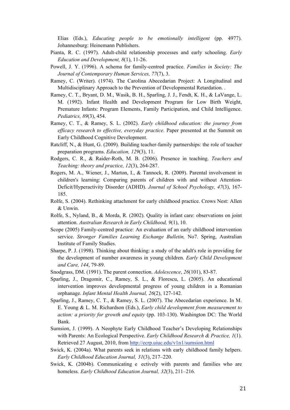Elias (Eds.), *Educating people to be emotionally intelligent* (pp. 4977). Johannesburg: Heinemann Publishers.

- Pianta, R. C. (1997). Adult-child relationship processes and early schooling. *Early Education and Development, 8*(1), 11-26.
- Powell, J. Y. (1996). A schema for family-centred practice. *Families in Society: The Journal of Contemporary Human Services, 77*(7), 3.
- Ramey, C. (Writer). (1974). The Carolina Abecedarian Project: A Longitudinal and Multidisciplinary Approach to the Prevention of Developmental Retardation. .
- Ramey, C. T., Bryant, D. M., Wasik, B. H., Sparling, J. J., Fendt, K. H., & LaVange, L. M. (1992). Infant Health and Development Program for Low Birth Weight, Premature Infants: Program Elements, Family Participation, and Child Intelligence. *Pediatrics, 89*(3), 454.
- Ramey, C. T., & Ramey, S. L. (2002). *Early childhood education: the journey from efficacy research to effective, everyday practice*. Paper presented at the Summit on Early Childhood Cognitive Development.
- Ratcliff, N., & Hunt, G. (2009). Building teacher-family partnerships: the role of teacher preparation programs. *Education, 129*(3), 11.
- Rodgers, C. R., & Raider-Roth, M. B. (2006). Presence in teaching. *Teachers and Teaching: theory and practice, 12*(3), 264-287.
- Rogers, M. A., Wiener, J., Marton, I., & Tannock, R. (2009). Parental involvement in children's learning: Comparing parents of children with and without Attention-Deficit/Hyperactivity Disorder (ADHD). *Journal of School Psychology, 47*(3), 167- 185.
- Rolfe, S. (2004). Rethinking attachment for early childhood practice. Crows Nest: Allen & Unwin.
- Rolfe, S., Nyland, B., & Morda, R. (2002). Quality in infant care: observations on joint attention. *Australian Research in Early Childhood, 9*(1), 10.
- Scope (2005) Family-centred practice: An evaluation of an early childhood intervention service. *Stronger Families Learning Exchange Bulletin,* No7. Spring, Australian Institute of Family Studies.
- Sharpe, P. J. (1998). Thinking about thinking: a study of the adult's role in providing for the development of number awareness in young children. *Early Child Development and Care, 144*, 79-89.
- Snodgrass, DM. (1991). The parent connection. *Adolescence*, *26*(101), 83-87.
- Sparling, J., Dragomir, C., Ramey, S. L., & Florescu, L. (2005). An educational intervention improves developmental progress of young children in a Romanian orphanage. *Infant Mental Health Journal, 26*(2), 127-142.
- Sparling, J., Ramey, C. T., & Ramey, S. L. (2007). The Abecedarian experience. In M. E. Young & L. M. Richardson (Eds.), *Early child development from measurement to action: a priority for growth and equity* (pp. 103-130). Washington DC: The World Bank.
- Sumsion, J. (1999). A Neophyte Early Childhood Teacher's Developing Relationships with Parents: An Ecological Perspective. *Early Childhood Research & Practice, 1*(1). Retrieved 27 August, 2010, from http://ecrp.uiuc.edu/v1n1/sumsion.html
- Swick, K. (2004a). What parents seek in relations with early childhood family helpers. *Early Childhood Education Journal, 31*(3), 217–220.
- Swick, K. (2004b). Communicating eectively with parents and families who are homeless. *Early Childhood Education Journal, 32*(3), 211–216.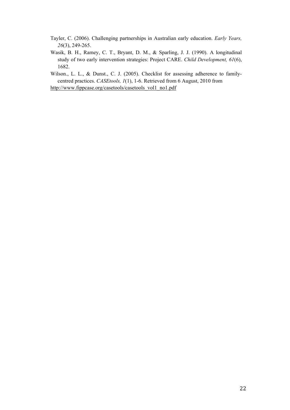- Tayler, C. (2006). Challenging partnerships in Australian early education. *Early Years, 26*(3), 249-265.
- Wasik, B. H., Ramey, C. T., Bryant, D. M., & Sparling, J. J. (1990). A longitudinal study of two early intervention strategies: Project CARE. *Child Development, 61*(6), 1682.

Wilson., L. L., & Dunst., C. J. (2005). Checklist for assessing adherence to familycentred practices. *CASEtools, 1*(1), 1-6. Retrieved from 6 August, 2010 from

http://www.fippcase.org/casetools/casetools\_vol1\_no1.pdf